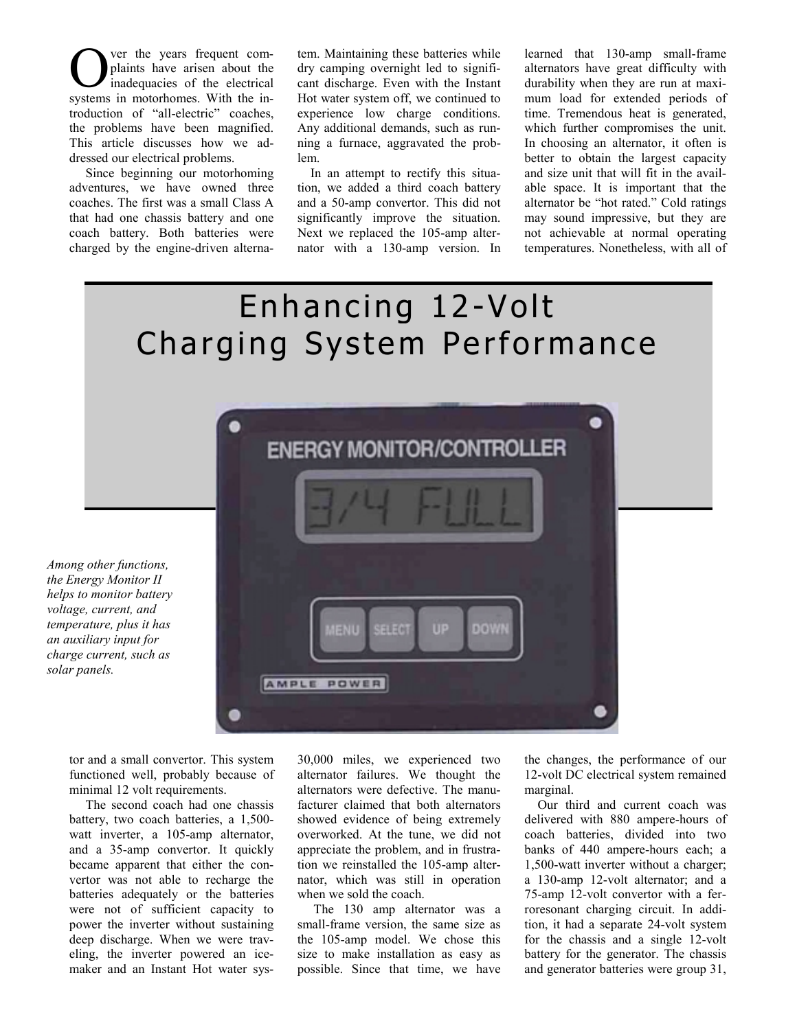ver the years frequent complaints have arisen about the inadequacies of the electrical **C** ver the years frequent complaints have arisen about the in-<br>inadequacies of the electrical<br>systems in motorhomes. With the introduction of "all-electric" coaches, the problems have been magnified. This article discusses how we addressed our electrical problems.

Since beginning our motorhoming adventures, we have owned three coaches. The first was a small Class A that had one chassis battery and one coach battery. Both batteries were charged by the engine-driven alternatem. Maintaining these batteries while dry camping overnight led to significant discharge. Even with the Instant Hot water system off, we continued to experience low charge conditions. Any additional demands, such as running a furnace, aggravated the problem.

In an attempt to rectify this situation, we added a third coach battery and a 50-amp convertor. This did not significantly improve the situation. Next we replaced the 105-amp alternator with a 130-amp version. In

learned that 130-amp small-frame alternators have great difficulty with durability when they are run at maximum load for extended periods of time. Tremendous heat is generated, which further compromises the unit. In choosing an alternator, it often is better to obtain the largest capacity and size unit that will fit in the available space. It is important that the alternator be "hot rated." Cold ratings may sound impressive, but they are not achievable at normal operating temperatures. Nonetheless, with all of

## Enhancing 12-Volt Charging System Performance



*Among other functions, the Energy Monitor II helps to monitor battery voltage, current, and temperature, plus it has an auxiliary input for charge current, such as solar panels.*

> tor and a small convertor. This system functioned well, probably because of minimal 12 volt requirements.

> The second coach had one chassis battery, two coach batteries, a 1,500 watt inverter, a 105-amp alternator, and a 35-amp convertor. It quickly became apparent that either the convertor was not able to recharge the batteries adequately or the batteries were not of sufficient capacity to power the inverter without sustaining deep discharge. When we were traveling, the inverter powered an icemaker and an Instant Hot water sys

30,000 miles, we experienced two alternator failures. We thought the alternators were defective. The manufacturer claimed that both alternators showed evidence of being extremely overworked. At the tune, we did not appreciate the problem, and in frustration we reinstalled the 105-amp alternator, which was still in operation when we sold the coach.

The 130 amp alternator was a small-frame version, the same size as the 105-amp model. We chose this size to make installation as easy as possible. Since that time, we have the changes, the performance of our 12-volt DC electrical system remained marginal.

Our third and current coach was delivered with 880 ampere-hours of coach batteries, divided into two banks of 440 ampere-hours each; a 1,500-watt inverter without a charger; a 130-amp 12-volt alternator; and a 75-amp 12-volt convertor with a ferroresonant charging circuit. In addition, it had a separate 24-volt system for the chassis and a single 12-volt battery for the generator. The chassis and generator batteries were group 31,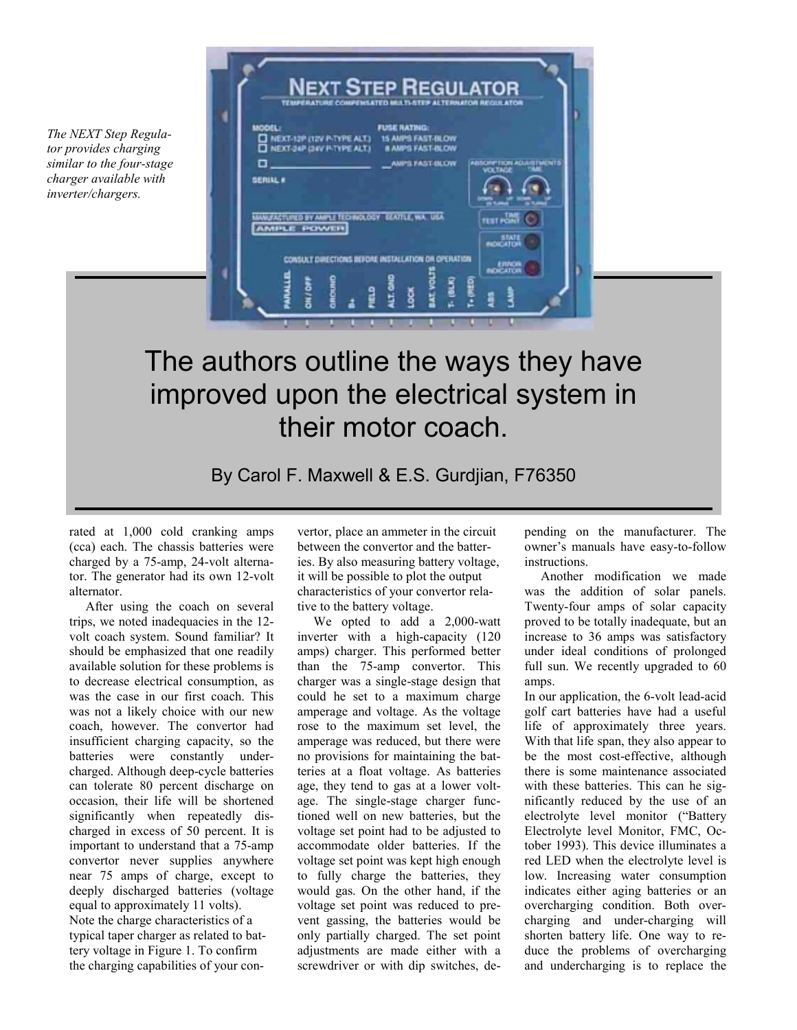*The NEXT Step Regulator provides charging similar to the four-stage charger available with inverter/chargers.*



## The authors outline the ways they have improved upon the electrical system in their motor coach.

By Carol F. Maxwell & E.S. Gurdjian, F76350

rated at 1,000 cold cranking amps (cca) each. The chassis batteries were charged by a 75-amp, 24-volt alternator. The generator had its own 12-volt alternator.

After using the coach on several trips, we noted inadequacies in the 12 volt coach system. Sound familiar? It should be emphasized that one readily available solution for these problems is to decrease electrical consumption, as was the case in our first coach. This was not a likely choice with our new coach, however. The convertor had insufficient charging capacity, so the batteries were constantly undercharged. Although deep-cycle batteries can tolerate 80 percent discharge on occasion, their life will be shortened significantly when repeatedly discharged in excess of 50 percent. It is important to understand that a 75-amp convertor never supplies anywhere near 75 amps of charge, except to deeply discharged batteries (voltage equal to approximately 11 volts). Note the charge characteristics of a typical taper charger as related to battery voltage in Figure 1. To confirm the charging capabilities of your convertor, place an ammeter in the circuit between the convertor and the batteries. By also measuring battery voltage, it will be possible to plot the output characteristics of your convertor relative to the battery voltage.

We opted to add a 2,000-watt inverter with a high-capacity (120 amps) charger. This performed better than the 75-amp convertor. This charger was a single-stage design that could he set to a maximum charge amperage and voltage. As the voltage rose to the maximum set level, the amperage was reduced, but there were no provisions for maintaining the batteries at a float voltage. As batteries age, they tend to gas at a lower voltage. The single-stage charger functioned well on new batteries, but the voltage set point had to be adjusted to accommodate older batteries. If the voltage set point was kept high enough to fully charge the batteries, they would gas. On the other hand, if the voltage set point was reduced to prevent gassing, the batteries would be only partially charged. The set point adjustments are made either with a screwdriver or with dip switches, depending on the manufacturer. The owner's manuals have easy-to-follow instructions.

Another modification we made was the addition of solar panels. Twenty-four amps of solar capacity proved to be totally inadequate, but an increase to 36 amps was satisfactory under ideal conditions of prolonged full sun. We recently upgraded to 60 amps.

In our application, the 6-volt lead-acid golf cart batteries have had a useful life of approximately three years. With that life span, they also appear to be the most cost-effective, although there is some maintenance associated with these batteries. This can he significantly reduced by the use of an electrolyte level monitor ("Battery Electrolyte level Monitor, FMC, October 1993). This device illuminates a red LED when the electrolyte level is low. Increasing water consumption indicates either aging batteries or an overcharging condition. Both overcharging and under-charging will shorten battery life. One way to reduce the problems of overcharging and undercharging is to replace the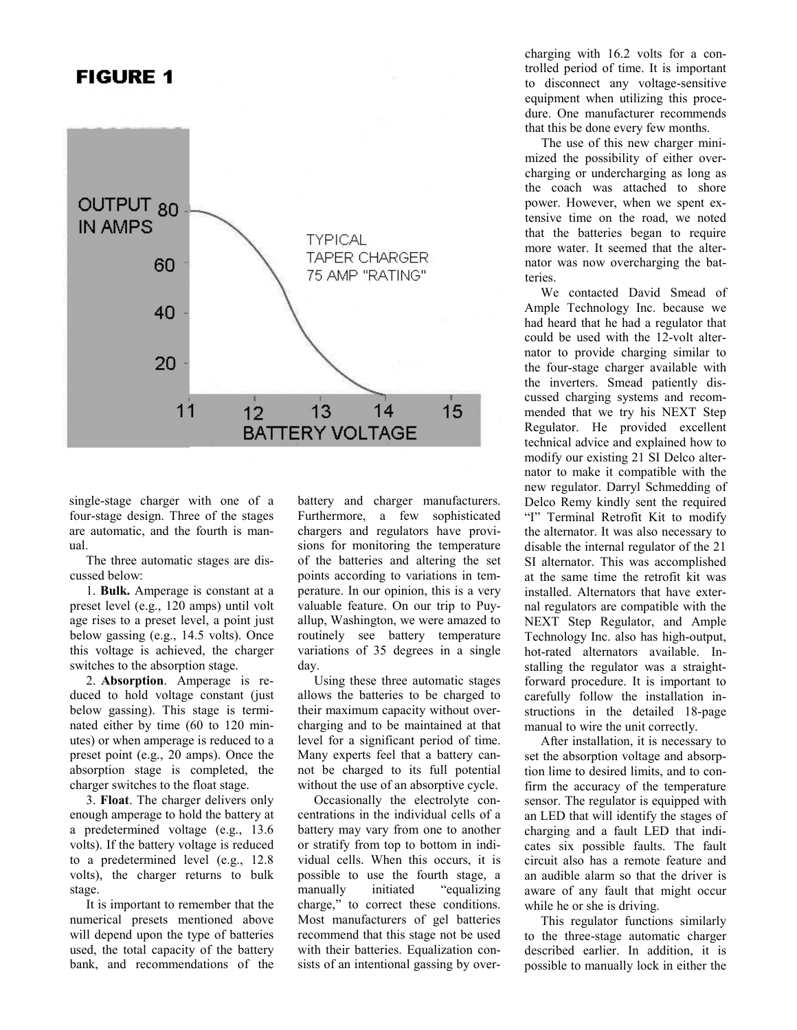## **FIGURE 1**



single-stage charger with one of a four-stage design. Three of the stages are automatic, and the fourth is manual.

The three automatic stages are discussed below:

1. **Bulk.** Amperage is constant at a preset level (e.g., 120 amps) until volt age rises to a preset level, a point just below gassing (e.g., 14.5 volts). Once this voltage is achieved, the charger switches to the absorption stage.

2. **Absorption**. Amperage is reduced to hold voltage constant (just below gassing). This stage is terminated either by time (60 to 120 minutes) or when amperage is reduced to a preset point (e.g., 20 amps). Once the absorption stage is completed, the charger switches to the float stage.

3. **Float**. The charger delivers only enough amperage to hold the battery at a predetermined voltage (e.g., 13.6 volts). If the battery voltage is reduced to a predetermined level (e.g., 12.8 volts), the charger returns to bulk stage.

It is important to remember that the numerical presets mentioned above will depend upon the type of batteries used, the total capacity of the battery bank, and recommendations of the

battery and charger manufacturers. Furthermore, a few sophisticated chargers and regulators have provisions for monitoring the temperature of the batteries and altering the set points according to variations in temperature. In our opinion, this is a very valuable feature. On our trip to Puyallup, Washington, we were amazed to routinely see battery temperature variations of 35 degrees in a single day.

Using these three automatic stages allows the batteries to be charged to their maximum capacity without overcharging and to be maintained at that level for a significant period of time. Many experts feel that a battery cannot be charged to its full potential without the use of an absorptive cycle.

Occasionally the electrolyte concentrations in the individual cells of a battery may vary from one to another or stratify from top to bottom in individual cells. When this occurs, it is possible to use the fourth stage, a manually initiated "equalizing charge," to correct these conditions. Most manufacturers of gel batteries recommend that this stage not be used with their batteries. Equalization consists of an intentional gassing by overcharging with 16.2 volts for a controlled period of time. It is important to disconnect any voltage-sensitive equipment when utilizing this procedure. One manufacturer recommends that this be done every few months.

The use of this new charger minimized the possibility of either overcharging or undercharging as long as the coach was attached to shore power. However, when we spent extensive time on the road, we noted that the batteries began to require more water. It seemed that the alternator was now overcharging the batteries.

We contacted David Smead of Ample Technology Inc. because we had heard that he had a regulator that could be used with the 12-volt alternator to provide charging similar to the four-stage charger available with the inverters. Smead patiently discussed charging systems and recommended that we try his NEXT Step Regulator. He provided excellent technical advice and explained how to modify our existing 21 SI Delco alternator to make it compatible with the new regulator. Darryl Schmedding of Delco Remy kindly sent the required "I" Terminal Retrofit Kit to modify the alternator. It was also necessary to disable the internal regulator of the 21 SI alternator. This was accomplished at the same time the retrofit kit was installed. Alternators that have external regulators are compatible with the NEXT Step Regulator, and Ample Technology Inc. also has high-output, hot-rated alternators available. Installing the regulator was a straight-

forward procedure. It is important to carefully follow the installation instructions in the detailed 18-page manual to wire the unit correctly.

After installation, it is necessary to set the absorption voltage and absorption lime to desired limits, and to confirm the accuracy of the temperature sensor. The regulator is equipped with an LED that will identify the stages of charging and a fault LED that indicates six possible faults. The fault circuit also has a remote feature and an audible alarm so that the driver is aware of any fault that might occur while he or she is driving.

This regulator functions similarly to the three-stage automatic charger described earlier. In addition, it is possible to manually lock in either the